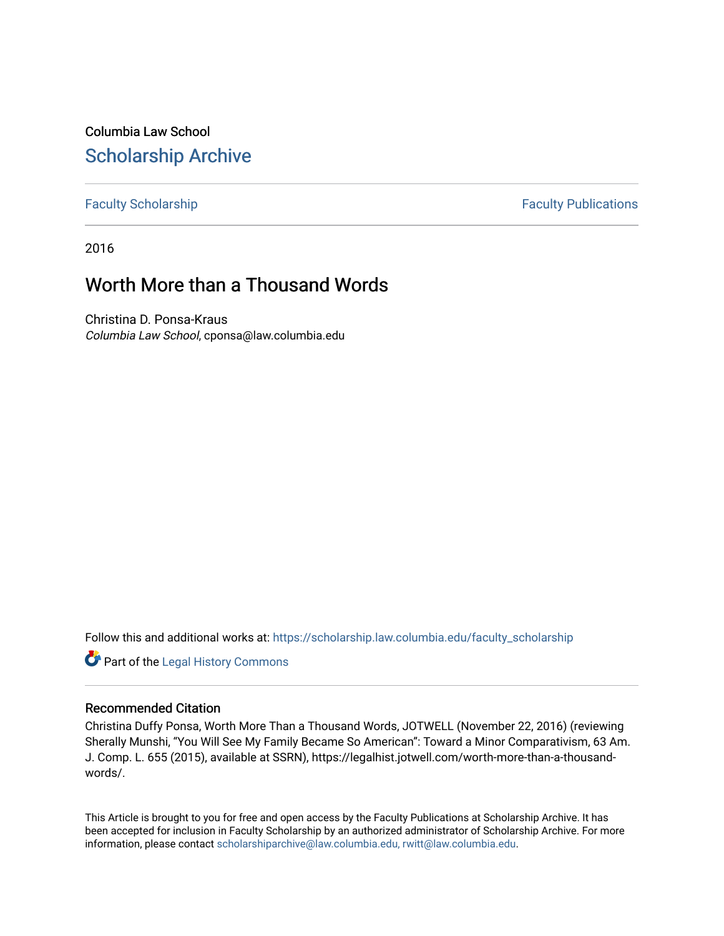Columbia Law School [Scholarship Archive](https://scholarship.law.columbia.edu/) 

## [Faculty Scholarship](https://scholarship.law.columbia.edu/faculty_scholarship) **Faculty Scholarship** Faculty Publications

2016

## Worth More than a Thousand Words

Christina D. Ponsa-Kraus Columbia Law School, cponsa@law.columbia.edu

Follow this and additional works at: [https://scholarship.law.columbia.edu/faculty\\_scholarship](https://scholarship.law.columbia.edu/faculty_scholarship?utm_source=scholarship.law.columbia.edu%2Ffaculty_scholarship%2F3208&utm_medium=PDF&utm_campaign=PDFCoverPages)

Part of the [Legal History Commons](http://network.bepress.com/hgg/discipline/904?utm_source=scholarship.law.columbia.edu%2Ffaculty_scholarship%2F3208&utm_medium=PDF&utm_campaign=PDFCoverPages)

## Recommended Citation

Christina Duffy Ponsa, Worth More Than a Thousand Words, JOTWELL (November 22, 2016) (reviewing Sherally Munshi, "You Will See My Family Became So American": Toward a Minor Comparativism, 63 Am. J. Comp. L. 655 (2015), available at SSRN), https://legalhist.jotwell.com/worth-more-than-a-thousandwords/.

This Article is brought to you for free and open access by the Faculty Publications at Scholarship Archive. It has been accepted for inclusion in Faculty Scholarship by an authorized administrator of Scholarship Archive. For more information, please contact [scholarshiparchive@law.columbia.edu, rwitt@law.columbia.edu](mailto:scholarshiparchive@law.columbia.edu,%20rwitt@law.columbia.edu).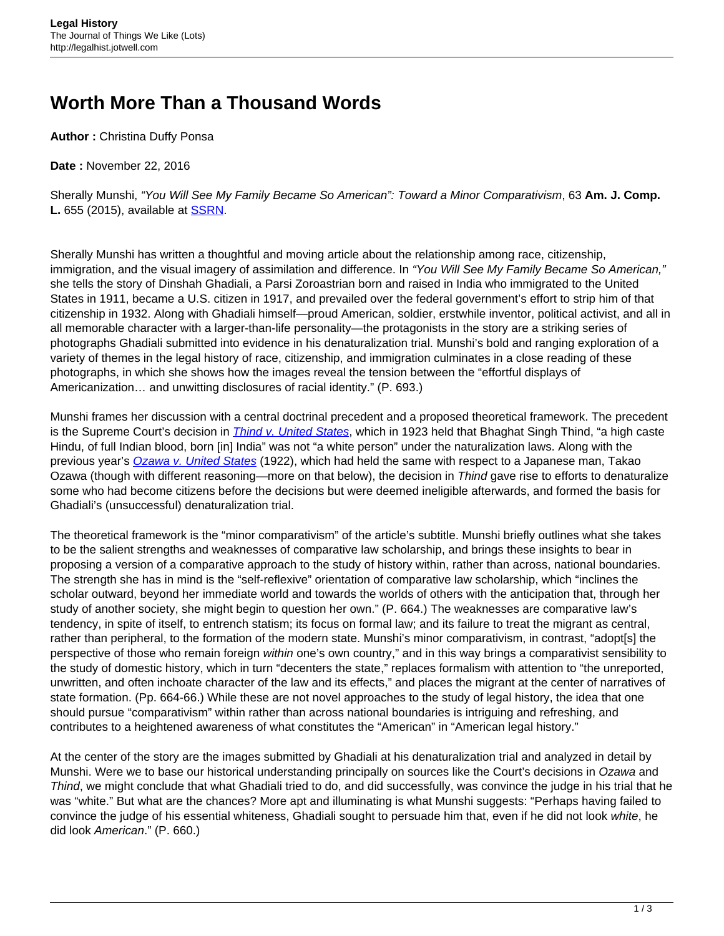## **Worth More Than a Thousand Words**

**Author :** Christina Duffy Ponsa

**Date :** November 22, 2016

Sherally Munshi, "You Will See My Family Became So American": Toward a Minor Comparativism, 63 **Am. J. Comp. L.** 655 (2015), available at [SSRN](https://papers.ssrn.com/sol3/papers.cfm?abstract_id=2857738).

Sherally Munshi has written a thoughtful and moving article about the relationship among race, citizenship, immigration, and the visual imagery of assimilation and difference. In "You Will See My Family Became So American," she tells the story of Dinshah Ghadiali, a Parsi Zoroastrian born and raised in India who immigrated to the United States in 1911, became a U.S. citizen in 1917, and prevailed over the federal government's effort to strip him of that citizenship in 1932. Along with Ghadiali himself—proud American, soldier, erstwhile inventor, political activist, and all in all memorable character with a larger-than-life personality—the protagonists in the story are a striking series of photographs Ghadiali submitted into evidence in his denaturalization trial. Munshi's bold and ranging exploration of a variety of themes in the legal history of race, citizenship, and immigration culminates in a close reading of these photographs, in which she shows how the images reveal the tension between the "effortful displays of Americanization… and unwitting disclosures of racial identity." (P. 693.)

Munshi frames her discussion with a central doctrinal precedent and a proposed theoretical framework. The precedent is the Supreme Court's decision in *[Thind v. United States](https://supreme.justia.com/cases/federal/us/261/204/case.html)*, which in 1923 held that Bhaghat Singh Thind, "a high caste Hindu, of full Indian blood, born [in] India" was not "a white person" under the naturalization laws. Along with the previous year's [Ozawa v. United States](https://supreme.justia.com/cases/federal/us/260/178/case.html) (1922), which had held the same with respect to a Japanese man, Takao Ozawa (though with different reasoning—more on that below), the decision in Thind gave rise to efforts to denaturalize some who had become citizens before the decisions but were deemed ineligible afterwards, and formed the basis for Ghadiali's (unsuccessful) denaturalization trial.

The theoretical framework is the "minor comparativism" of the article's subtitle. Munshi briefly outlines what she takes to be the salient strengths and weaknesses of comparative law scholarship, and brings these insights to bear in proposing a version of a comparative approach to the study of history within, rather than across, national boundaries. The strength she has in mind is the "self-reflexive" orientation of comparative law scholarship, which "inclines the scholar outward, beyond her immediate world and towards the worlds of others with the anticipation that, through her study of another society, she might begin to question her own." (P. 664.) The weaknesses are comparative law's tendency, in spite of itself, to entrench statism; its focus on formal law; and its failure to treat the migrant as central, rather than peripheral, to the formation of the modern state. Munshi's minor comparativism, in contrast, "adopt[s] the perspective of those who remain foreign within one's own country," and in this way brings a comparativist sensibility to the study of domestic history, which in turn "decenters the state," replaces formalism with attention to "the unreported, unwritten, and often inchoate character of the law and its effects," and places the migrant at the center of narratives of state formation. (Pp. 664-66.) While these are not novel approaches to the study of legal history, the idea that one should pursue "comparativism" within rather than across national boundaries is intriguing and refreshing, and contributes to a heightened awareness of what constitutes the "American" in "American legal history."

At the center of the story are the images submitted by Ghadiali at his denaturalization trial and analyzed in detail by Munshi. Were we to base our historical understanding principally on sources like the Court's decisions in Ozawa and Thind, we might conclude that what Ghadiali tried to do, and did successfully, was convince the judge in his trial that he was "white." But what are the chances? More apt and illuminating is what Munshi suggests: "Perhaps having failed to convince the judge of his essential whiteness, Ghadiali sought to persuade him that, even if he did not look white, he did look American." (P. 660.)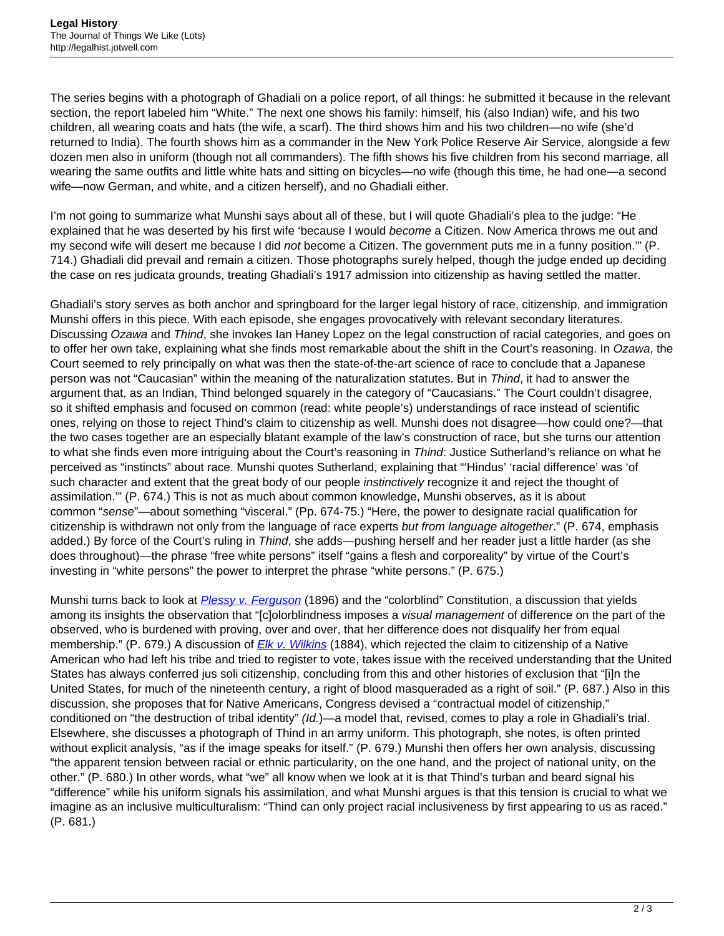The series begins with a photograph of Ghadiali on a police report, of all things: he submitted it because in the relevant section, the report labeled him "White." The next one shows his family: himself, his (also Indian) wife, and his two children, all wearing coats and hats (the wife, a scarf). The third shows him and his two children—no wife (she'd returned to India). The fourth shows him as a commander in the New York Police Reserve Air Service, alongside a few dozen men also in uniform (though not all commanders). The fifth shows his five children from his second marriage, all wearing the same outfits and little white hats and sitting on bicycles—no wife (though this time, he had one—a second wife—now German, and white, and a citizen herself), and no Ghadiali either.

I'm not going to summarize what Munshi says about all of these, but I will quote Ghadiali's plea to the judge: "He explained that he was deserted by his first wife 'because I would become a Citizen. Now America throws me out and my second wife will desert me because I did not become a Citizen. The government puts me in a funny position."" (P. 714.) Ghadiali did prevail and remain a citizen. Those photographs surely helped, though the judge ended up deciding the case on res judicata grounds, treating Ghadiali's 1917 admission into citizenship as having settled the matter.

Ghadiali's story serves as both anchor and springboard for the larger legal history of race, citizenship, and immigration Munshi offers in this piece. With each episode, she engages provocatively with relevant secondary literatures. Discussing Ozawa and Thind, she invokes Ian Haney Lopez on the legal construction of racial categories, and goes on to offer her own take, explaining what she finds most remarkable about the shift in the Court's reasoning. In Ozawa, the Court seemed to rely principally on what was then the state-of-the-art science of race to conclude that a Japanese person was not "Caucasian" within the meaning of the naturalization statutes. But in Thind, it had to answer the argument that, as an Indian, Thind belonged squarely in the category of "Caucasians." The Court couldn't disagree, so it shifted emphasis and focused on common (read: white people's) understandings of race instead of scientific ones, relying on those to reject Thind's claim to citizenship as well. Munshi does not disagree—how could one?—that the two cases together are an especially blatant example of the law's construction of race, but she turns our attention to what she finds even more intriguing about the Court's reasoning in Thind: Justice Sutherland's reliance on what he perceived as "instincts" about race. Munshi quotes Sutherland, explaining that "'Hindus' 'racial difference' was 'of such character and extent that the great body of our people *instinctively* recognize it and reject the thought of assimilation.'" (P. 674.) This is not as much about common knowledge, Munshi observes, as it is about common "sense"—about something "visceral." (Pp. 674-75.) "Here, the power to designate racial qualification for citizenship is withdrawn not only from the language of race experts but from language altogether." (P. 674, emphasis added.) By force of the Court's ruling in Thind, she adds—pushing herself and her reader just a little harder (as she does throughout)—the phrase "free white persons" itself "gains a flesh and corporeality" by virtue of the Court's investing in "white persons" the power to interpret the phrase "white persons." (P. 675.)

Munshi turns back to look at [Plessy v. Ferguson](https://supreme.justia.com/cases/federal/us/163/537/case.html) (1896) and the "colorblind" Constitution, a discussion that yields among its insights the observation that "[c]olorblindness imposes a visual management of difference on the part of the observed, who is burdened with proving, over and over, that her difference does not disqualify her from equal membership." (P. 679.) A discussion of [Elk v. Wilkins](https://supreme.justia.com/cases/federal/us/112/94/case.html) (1884), which rejected the claim to citizenship of a Native American who had left his tribe and tried to register to vote, takes issue with the received understanding that the United States has always conferred jus soli citizenship, concluding from this and other histories of exclusion that "[i]n the United States, for much of the nineteenth century, a right of blood masqueraded as a right of soil." (P. 687.) Also in this discussion, she proposes that for Native Americans, Congress devised a "contractual model of citizenship," conditioned on "the destruction of tribal identity" (Id.)—a model that, revised, comes to play a role in Ghadiali's trial. Elsewhere, she discusses a photograph of Thind in an army uniform. This photograph, she notes, is often printed without explicit analysis, "as if the image speaks for itself." (P. 679.) Munshi then offers her own analysis, discussing "the apparent tension between racial or ethnic particularity, on the one hand, and the project of national unity, on the other." (P. 680.) In other words, what "we" all know when we look at it is that Thind's turban and beard signal his "difference" while his uniform signals his assimilation, and what Munshi argues is that this tension is crucial to what we imagine as an inclusive multiculturalism: "Thind can only project racial inclusiveness by first appearing to us as raced." (P. 681.)